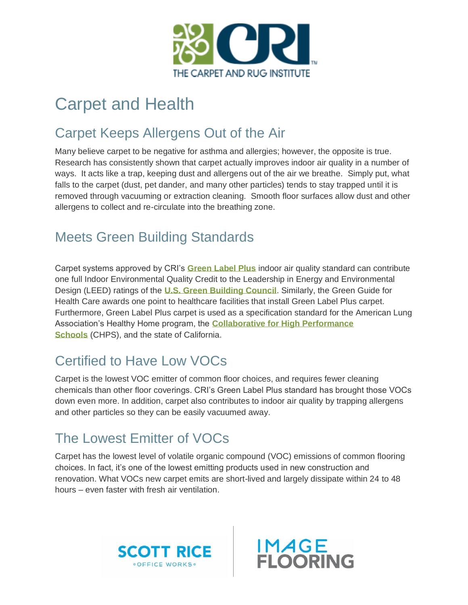

## Carpet and Health

#### Carpet Keeps Allergens Out of the Air

Many believe carpet to be negative for asthma and allergies; however, the opposite is true. Research has consistently shown that carpet actually improves indoor air quality in a number of ways. It acts like a trap, keeping dust and allergens out of the air we breathe. Simply put, what falls to the carpet (dust, pet dander, and many other particles) tends to stay trapped until it is removed through vacuuming or extraction cleaning. Smooth floor surfaces allow dust and other allergens to collect and re-circulate into the breathing zone.

### Meets Green Building Standards

Carpet systems approved by CRI's **[Green Label Plus](https://carpet-rug.org/testing/green-label-plus/)** indoor air quality standard can contribute one full Indoor Environmental Quality Credit to the Leadership in Energy and Environmental Design (LEED) ratings of the **[U.S. Green Building Council](http://www.usgbc.org/home)**. Similarly, the Green Guide for Health Care awards one point to healthcare facilities that install Green Label Plus carpet. Furthermore, Green Label Plus carpet is used as a specification standard for the American Lung Association's Healthy Home program, the **[Collaborative for High Performance](http://www.chps.net/)  [Schools](http://www.chps.net/)** (CHPS), and the state of California.

#### Certified to Have Low VOCs

Carpet is the lowest VOC emitter of common floor choices, and requires fewer cleaning chemicals than other floor coverings. CRI's Green Label Plus standard has brought those VOCs down even more. In addition, carpet also contributes to indoor air quality by trapping allergens and other particles so they can be easily vacuumed away.

#### The Lowest Emitter of VOCs

Carpet has the lowest level of volatile organic compound (VOC) emissions of common flooring choices. In fact, it's one of the lowest emitting products used in new construction and renovation. What VOCs new carpet emits are short-lived and largely dissipate within 24 to 48 hours – even faster with fresh air ventilation.